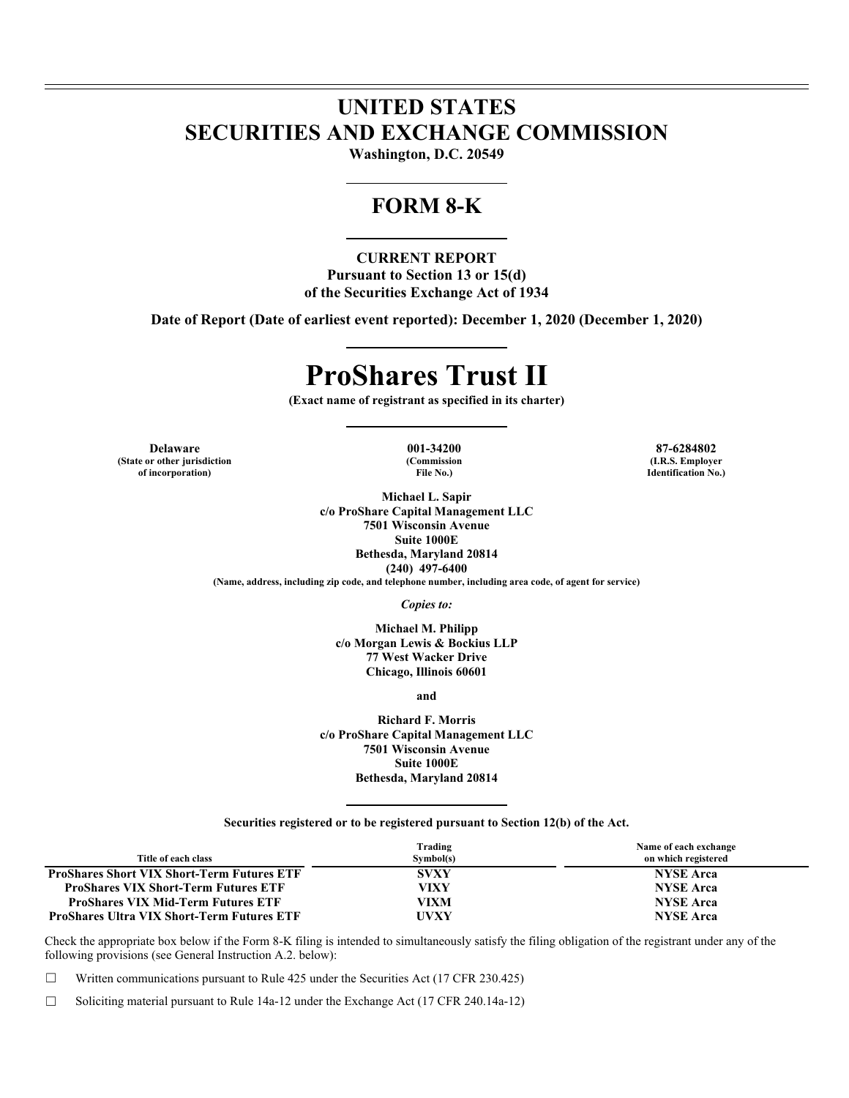# **UNITED STATES SECURITIES AND EXCHANGE COMMISSION**

**Washington, D.C. 20549** 

# **FORM 8-K**

**CURRENT REPORT Pursuant to Section 13 or 15(d) of the Securities Exchange Act of 1934** 

**Date of Report (Date of earliest event reported): December 1, 2020 (December 1, 2020)** 

# **ProShares Trust II**

**(Exact name of registrant as specified in its charter)** 

**Delaware 001-34200 87-6284802 (State or other jurisdiction of incorporation)**

**(Commission File No.)**

**Michael L. Sapir c/o ProShare Capital Management LLC 7501 Wisconsin Avenue Suite 1000E Bethesda, Maryland 20814 (240) 497-6400**

**(Name, address, including zip code, and telephone number, including area code, of agent for service)** 

*Copies to:* 

**Michael M. Philipp c/o Morgan Lewis & Bockius LLP 77 West Wacker Drive Chicago, Illinois 60601** 

**and** 

**Richard F. Morris c/o ProShare Capital Management LLC 7501 Wisconsin Avenue Suite 1000E Bethesda, Maryland 20814** 

**Securities registered or to be registered pursuant to Section 12(b) of the Act.** 

| Title of each class                               | Trading<br>Symbol(s) | Name of each exchange<br>on which registered |
|---------------------------------------------------|----------------------|----------------------------------------------|
| <b>ProShares Short VIX Short-Term Futures ETF</b> | <b>SVXY</b>          | <b>NYSE Arca</b>                             |
| <b>ProShares VIX Short-Term Futures ETF</b>       | VIXY                 | <b>NYSE Arca</b>                             |
| <b>ProShares VIX Mid-Term Futures ETF</b>         | VIXM                 | <b>NYSE Arca</b>                             |
| <b>ProShares Ultra VIX Short-Term Futures ETF</b> | <b>UVXY</b>          | <b>NYSE Arca</b>                             |

Check the appropriate box below if the Form 8-K filing is intended to simultaneously satisfy the filing obligation of the registrant under any of the following provisions (see General Instruction A.2. below):

☐ Written communications pursuant to Rule 425 under the Securities Act (17 CFR 230.425)

☐ Soliciting material pursuant to Rule 14a-12 under the Exchange Act (17 CFR 240.14a-12)

**(I.R.S. Employer Identification No.)**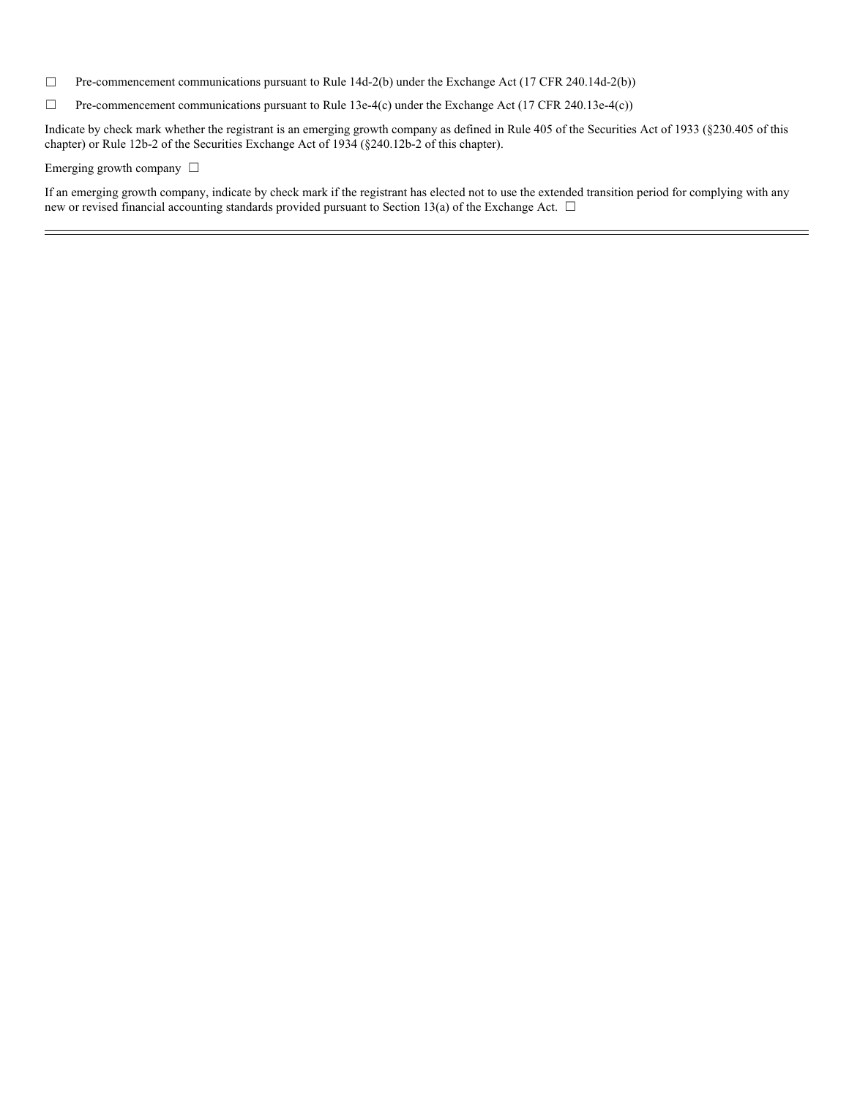- ☐ Pre-commencement communications pursuant to Rule 14d-2(b) under the Exchange Act (17 CFR 240.14d-2(b))
- ☐ Pre-commencement communications pursuant to Rule 13e-4(c) under the Exchange Act (17 CFR 240.13e-4(c))

Indicate by check mark whether the registrant is an emerging growth company as defined in Rule 405 of the Securities Act of 1933 (§230.405 of this chapter) or Rule 12b-2 of the Securities Exchange Act of 1934 (§240.12b-2 of this chapter).

### Emerging growth company □

If an emerging growth company, indicate by check mark if the registrant has elected not to use the extended transition period for complying with any new or revised financial accounting standards provided pursuant to Section 13(a) of the Exchange Act. □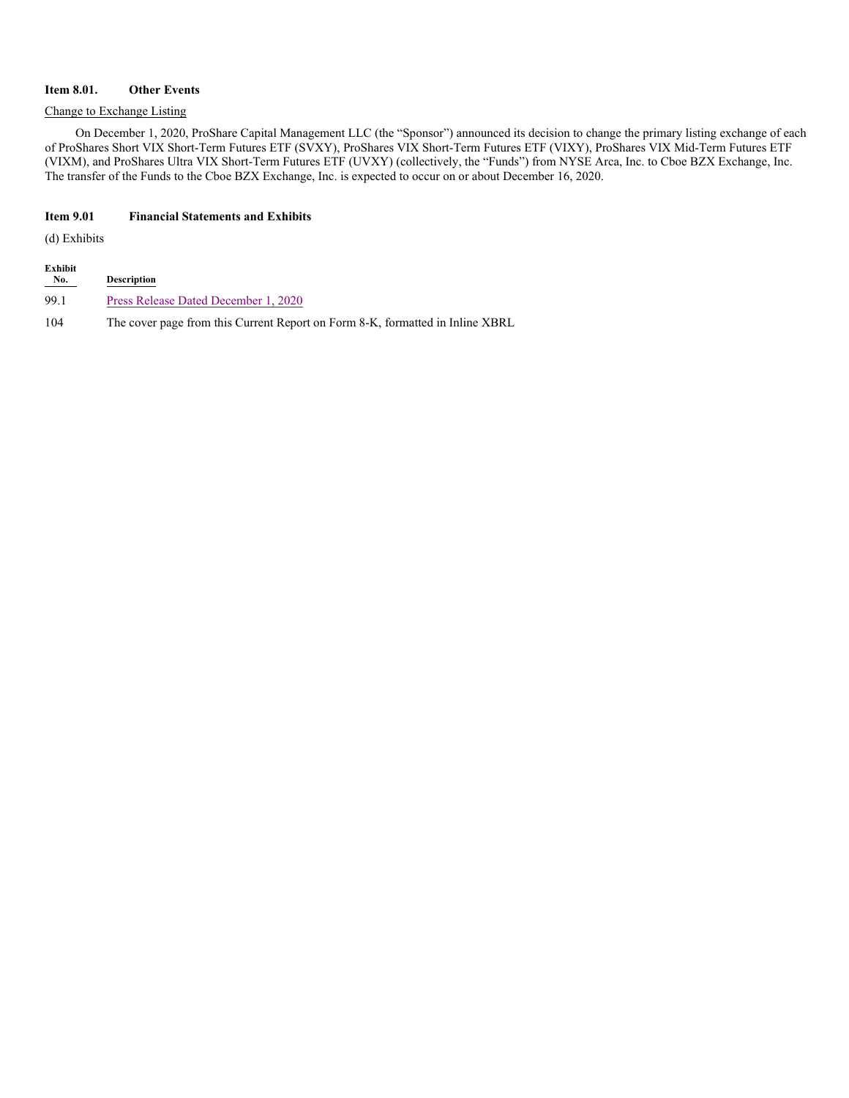# **Item 8.01. Other Events**

## Change to Exchange Listing

On December 1, 2020, ProShare Capital Management LLC (the "Sponsor") announced its decision to change the primary listing exchange of each of ProShares Short VIX Short-Term Futures ETF (SVXY), ProShares VIX Short-Term Futures ETF (VIXY), ProShares VIX Mid-Term Futures ETF (VIXM), and ProShares Ultra VIX Short-Term Futures ETF (UVXY) (collectively, the "Funds") from NYSE Arca, Inc. to Cboe BZX Exchange, Inc. The transfer of the Funds to the Cboe BZX Exchange, Inc. is expected to occur on or about December 16, 2020.

# **Item 9.01 Financial Statements and Exhibits**

(d) Exhibits

| Exhibit<br><u>No.</u> | <b>Description</b>                                                            |
|-----------------------|-------------------------------------------------------------------------------|
| 99.1                  | Press Release Dated December 1, 2020                                          |
| 104                   | The cover page from this Current Report on Form 8-K, formatted in Inline XBRL |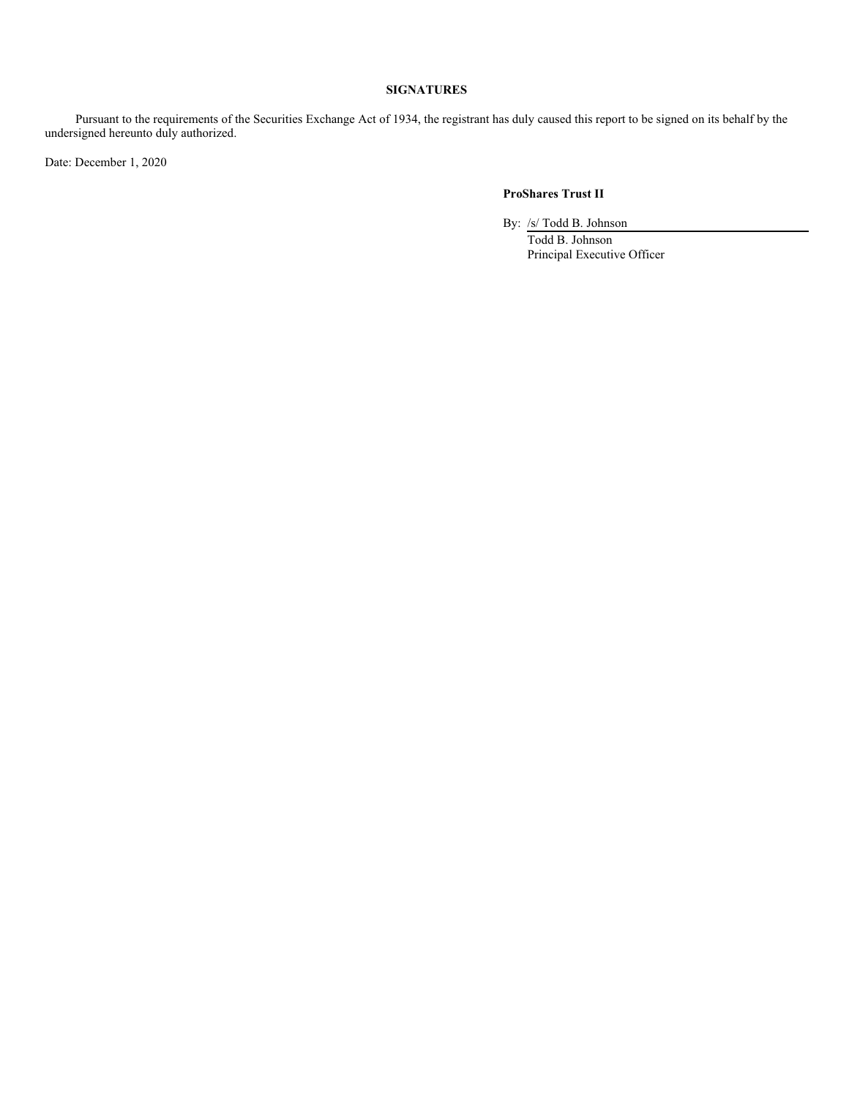# **SIGNATURES**

Pursuant to the requirements of the Securities Exchange Act of 1934, the registrant has duly caused this report to be signed on its behalf by the undersigned hereunto duly authorized.

Date: December 1, 2020

# **ProShares Trust II**

By: /s/ Todd B. Johnson

Todd B. Johnson Principal Executive Officer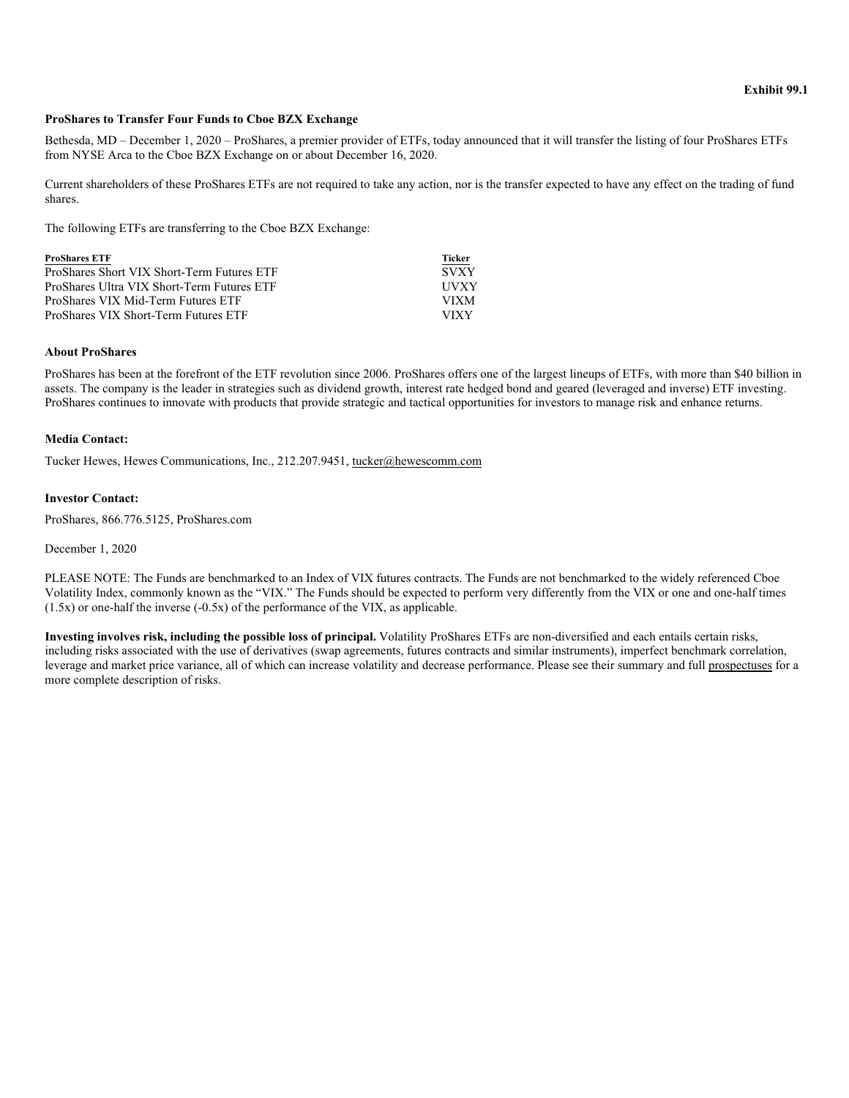#### **ProShares to Transfer Four Funds to Cboe BZX Exchange**

Bethesda, MD – December 1, 2020 – ProShares, a premier provider of ETFs, today announced that it will transfer the listing of four ProShares ETFs from NYSE Arca to the Cboe BZX Exchange on or about December 16, 2020.

Current shareholders of these ProShares ETFs are not required to take any action, nor is the transfer expected to have any effect on the trading of fund shares.

The following ETFs are transferring to the Cboe BZX Exchange:

| <b>ProShares ETF</b>                       | <b>Ticker</b> |
|--------------------------------------------|---------------|
| ProShares Short VIX Short-Term Futures ETF | <b>SVXY</b>   |
| ProShares Ultra VIX Short-Term Futures ETF | <b>HVXY</b>   |
| ProShares VIX Mid-Term Futures ETF         | <b>VIXM</b>   |
| ProShares VIX Short-Term Futures ETF       | VIXY          |

# **About ProShares**

ProShares has been at the forefront of the ETF revolution since 2006. ProShares offers one of the largest lineups of ETFs, with more than \$40 billion in assets. The company is the leader in strategies such as dividend growth, interest rate hedged bond and geared (leveraged and inverse) ETF investing. ProShares continues to innovate with products that provide strategic and tactical opportunities for investors to manage risk and enhance returns.

#### **Media Contact:**

Tucker Hewes, Hewes Communications, Inc., 212.207.9451, tucker@hewescomm.com

# **Investor Contact:**

ProShares, 866.776.5125, ProShares.com

### December 1, 2020

PLEASE NOTE: The Funds are benchmarked to an Index of VIX futures contracts. The Funds are not benchmarked to the widely referenced Cboe Volatility Index, commonly known as the "VIX." The Funds should be expected to perform very differently from the VIX or one and one-half times  $(1.5x)$  or one-half the inverse  $(-0.5x)$  of the performance of the VIX, as applicable.

**Investing involves risk, including the possible loss of principal.** Volatility ProShares ETFs are non-diversified and each entails certain risks, including risks associated with the use of derivatives (swap agreements, futures contracts and similar instruments), imperfect benchmark correlation, leverage and market price variance, all of which can increase volatility and decrease performance. Please see their summary and full prospectuses for a more complete description of risks.